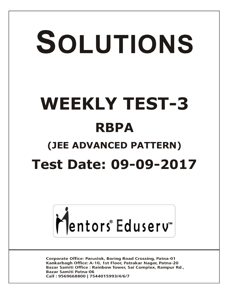# SOLUTIONS **WEEKLY TEST-3 RBPA (JEE ADVANCED PATTERN) Test Date: 09-09-2017**



**Corporate Office: Paruslok, Boring Road Crossing, Patna-01** Kankarbagh Office: A-10, 1st Floor, Patrakar Nagar, Patna-20 Bazar Samiti Office: Rainbow Tower, Sai Complex, Rampur Rd., **Bazar Samiti Patna-06** Call: 9569668800 | 7544015993/4/6/7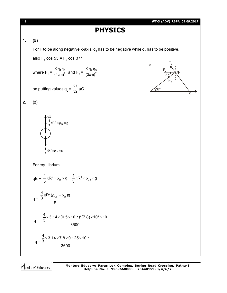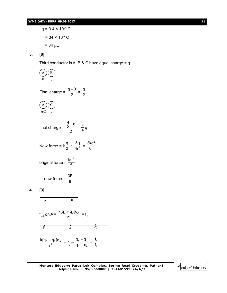## **3. [8]**

Third conductor is A, B & C have equal charge  $= q$ 

2 2

$$
\begin{array}{c}\n\text{A} \text{B} \\
0 \text{ q} \\
\hline\n\end{array}
$$
\nFinal charge =  $\frac{q+0}{2} = \frac{q}{2}$ 

\n
$$
\begin{array}{c}\n\text{A} \text{C} \\
q/2 \text{ q} \\
\hline\n\end{array}
$$
\nfinal charge =  $\frac{\frac{q}{2} + q}{2} = \frac{3}{4}q$ 

\nNew force =  $k\frac{q}{2} \times \frac{3q}{4r^2} = \frac{3kq^2}{8r^2}$ 

\noriginal force =  $\frac{kq^2}{r^2}$ 

\nSince  $\frac{3F}{R}$  is the total value of  $\frac{1}{2}r^2$  is the total value of  $\frac{3F}{R}$  is the total value of  $\frac{1}{2}r^2$ .

\nFind the original force is  $\frac{8}{r^2} = \frac{3kq^2}{8r^2}$ , and the initial conditions are  $\frac{1}{2}r^2$ .

$$
\frac{k[q_C-q_B]q_A}{r^2}\ = f_2 \displaystyle{\Rightarrow}\frac{q_B+q_C}{q_C-q_B}\ =\ \frac{f_1}{f_2}
$$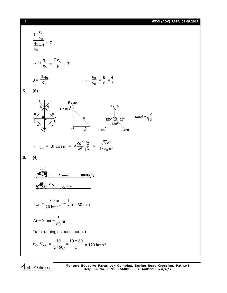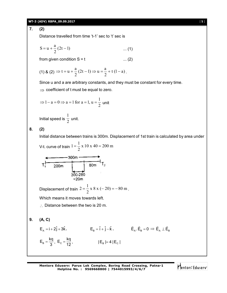### **WT-3 (ADV) RBPA\_09.09.2017** [ **5** ]

**7. (2)**

Distance travelled from time 't-1' sec to 't' sec is

$$
S = u + \frac{a}{2} (2t - 1) \qquad \dots (1)
$$

from given condition  $S = t$  ... (2)

(1) & (2) 
$$
\Rightarrow
$$
 t = u +  $\frac{a}{2}$  (2t - 1)  $\Rightarrow$  u =  $\frac{a}{2}$  + t (1 - a).

Since u and a are arbitrary constants, and they must be constant for every time.

 $\Rightarrow$  coefficient of t must be equal to zero.

$$
\Rightarrow 1 - a = 0 \Rightarrow a = 1 \text{ for } a = 1, u = \frac{1}{2} \text{ unit}
$$

Initial speed is  $\frac{1}{2}$ 1 unit.

**8. (2)**

Initial distance between trains is 300m. Displacement of 1st train is calculated by area under

V-t. curve of train 
$$
1 = \frac{1}{2} \times 10 \times 40 = 200 \text{ m}
$$
  
\n300m  
\n300m  
\n80m  
\n300-280  
\n300-280  
\n72  
\n200m  
\n1

Displacement of train  $2 = \frac{1}{2} \times 8 \times (-20) = -80$  m 2  $2 = \frac{1}{2} \times 8 \times (-20) = -80 \text{ m}.$ Which means it moves towards left.

 $\therefore$  Distance between the two is 20 m.

$$
9. (A, C)
$$

$$
E_{A} = i + 2\hat{j} + 3\hat{k},
$$
\n
$$
E_{B} = \hat{i} + \hat{j} - \hat{k},
$$
\n
$$
\vec{E}_{A} \cdot \vec{E}_{B} = 0 \implies \vec{E}_{A} \perp \vec{E}_{B}
$$
\n
$$
E_{B} = \frac{kq}{3},
$$
\n
$$
E_{C} = \frac{kq}{12},
$$
\n
$$
|E_{B}| = 4 |E_{C}|
$$

**Mentors Eduserv: Parus Lok Complex, Boring Road Crossing, Patna-1 Helpline No. : 9569668800 | 7544015993/4/6/7**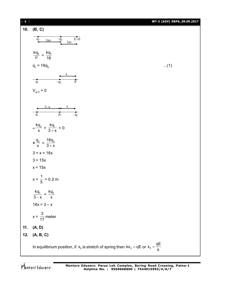| $[ 6 ]$ |                                                                                                 | WT-3 (ADV) RBPA_09.09.2017 |
|---------|-------------------------------------------------------------------------------------------------|----------------------------|
| 10.     | (B, C)                                                                                          |                            |
|         | $E=0$<br>$-q_2$<br>$q_1$<br>3m<br>1m                                                            |                            |
|         | $rac{kq_2}{1^2} = \frac{kq_1}{16}$                                                              |                            |
|         | $q_1 = 16q_2$                                                                                   | $(1)$                      |
|         | $\mathbf{X}$<br>$\overline{P}$<br>$\overline{q_1}$<br>$-\bar{q}_2$                              |                            |
|         | $V_{\text{at P}} = 0$                                                                           |                            |
|         | $3-x$<br>X<br>$\tilde{q}_1$<br>$\overline{p}_1$<br>$-q_2$                                       |                            |
|         | $-\frac{kq_2}{x} + \frac{kq_1}{3+x} = 0$                                                        |                            |
|         | $+\frac{q_2}{x} = \frac{16q_2}{3+x}$                                                            |                            |
|         | $3 + x = 16x$                                                                                   |                            |
|         | $3 = 15x$                                                                                       |                            |
|         | $x = 15x$                                                                                       |                            |
|         | $x = \frac{1}{5} = 0.2$ m                                                                       |                            |
|         | $\frac{kq_1}{3-x} = \frac{kq_2}{x}$                                                             |                            |
|         | $16x = 3 - x$                                                                                   |                            |
|         | $x = \frac{3}{17}$ meter                                                                        |                            |
| 11.     | (A, D)                                                                                          |                            |
| 12.     | (A, B, C)                                                                                       |                            |
|         | In equilibrium position, if $x_0$ is stretch of spring then $kx_0 = qE$ or $x_0 = \frac{qE}{k}$ |                            |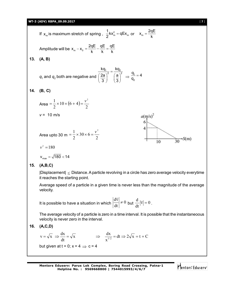### **WT-3 (ADV) RBPA\_09.09.2017** [ **7** ]

 $\frac{1}{2}kx_m^2 = qEx_m$  or  $x_m = \frac{2qE}{k}$  $\frac{1}{6}$ kx<sup>2</sup><sub>m</sub> = qEx If  $x_m$  is maximum stretch of spring,  $\frac{1}{2}kx_m^2 = qEx_m$  $=$ k Amplitude will be  $x_m - x_0 = \frac{2qE}{k} - \frac{qE}{k} = \frac{qE}{k}$  $=\frac{244}{1} - \frac{44}{1} =$ k k k **13. (A, B)** kq<sub>1</sub> kq  $\frac{1}{\sqrt{2}} = \frac{12}{(2 \sqrt{2})^2}$  $=$  $\frac{q_1}{q_2} = 4$  $\left(\frac{2a}{3}\right)^2 \quad \left(\frac{a}{3}\right)^2 \Rightarrow \frac{q_1}{q_2}$ 2a `a (a  $=$  $\boldsymbol{q}_{{}_1}$  and  $\boldsymbol{q}_{{}_2}$  both are negative and q 3 (3) 2 **14. (B, C)**  $=\frac{1}{2}\times 10\times (6+4)=\frac{v^2}{2}$ Area =  $\frac{1}{2}$  × 10 × (6 + 4)  $10 \times (6 + 4)$ 2 2 *v* = 10 m/s  $a(m/s)^2$  $=\frac{1}{2} \times 30 \times 6 = \frac{v^2}{2}$ Area upto 30 m =  $\frac{1}{2} \times 30 \times 6 = \frac{1}{2}$ 2  $-S(m)$  $10$ 30  $v^2 = 180$  $v_{\text{max}} = \sqrt{180} < 14$ **15. (A,B,C)** |Displacement|  $\leq$  Distance. A particle revolving in a circle has zero average velocity everytime it reaches the starting point. Average speed of a particle in a given time is never less than the magnitude of the average velocity.  $\frac{d\overline{v}}{dt} \neq 0$  but  $\frac{d}{dt} |\overline{v}| = 0$  $\frac{d}{dt}|\overline{v}| = 0$ . It is possible to have a situation in which  $\left|\frac{d\mathbf{v}}{dt}\right| \neq 0$ dt

The average velocity of a particle is zero in a time interval. It is possible that the instantaneoous velocity is never zero in the interval.

$$
16. (A, C, D)
$$

$$
v = \sqrt{x} \implies \frac{dx}{dt} = \sqrt{x} \implies \frac{dx}{x^{1/2}} = dt \implies 2\sqrt{x} = t + C
$$
  
but given at  $t = 0$ ;  $x = 4 \implies c = 4$ 

**Mentors Eduserv: Parus Lok Complex, Boring Road Crossing, Patna-1 Helpline No. : 9569668800 | 7544015993/4/6/7**

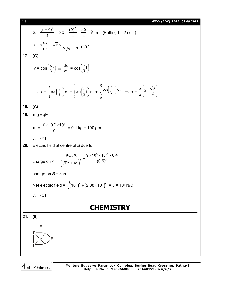18. d) 
$$
x = \frac{(t+4)^2}{4} \Rightarrow x = \frac{(6)^2}{4} = \frac{36}{4} = 9 \text{ m}
$$
 (Putting  $t = 2 \text{ sec.}$ )  
\n $a = v \frac{dv}{dx} = \sqrt{x} \times \frac{1}{2\sqrt{x}} = \frac{1}{2} \text{ m/s}^2$   
\n17. (C)  
\n $v = \cos(\frac{\pi}{3}t) \Rightarrow \frac{dx}{dt} = \cos(\frac{\pi}{3}t)$   
\n $\Rightarrow x = \int_0^2 \cos(\frac{\pi}{3}t) dt = \int_0^{\frac{3}{2}} \cos(\frac{\pi}{3}t) dt + \int_{\frac{3}{2}}^2 \cos(\frac{\pi}{3}t) dt$   
\n18. (A)  
\n19.  $mg = qE$   
\n $m = \frac{10 \times 10^{-6} \times 10^6}{10} = 0.1 \text{ kg} = 100 \text{ gm}$   
\n $\therefore$  (B)  
\n20. Electric field at centre of B due to  
\ncharge on  $A = \frac{KQ_xX}{\sqrt{R^2 + X^2}} = \frac{9 \times 10^9 \times 10^{-6} \times 0.4}{(0.5)^3}$   
\ncharge on  $B = \text{zero}$   
\nNet electric field =  $\sqrt{(10^6)^2 + (2.88 \times 10^6)^2} = 3 \times 10^6 \text{ N/C}$   
\n $\therefore$  (C)  
\n21. (5)

Mentors<sup>e</sup> Eduserv<sup>-</sup>

F

F<del>err</del> F

I

F

F

F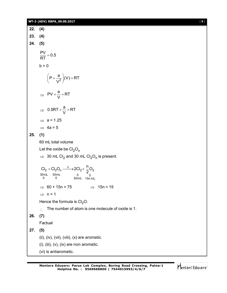|     | WT-3 (ADV) RBPA_09.09.2017                                                                               | [9] |
|-----|----------------------------------------------------------------------------------------------------------|-----|
| 22. | (4)                                                                                                      |     |
| 23. | (4)                                                                                                      |     |
| 24. | (5)                                                                                                      |     |
|     | $\frac{PV}{RT} = 0.5$                                                                                    |     |
|     | $b = 0$                                                                                                  |     |
|     | $\left(P+\frac{a}{V^2}\right)(V)=RT$                                                                     |     |
|     | $\Rightarrow PV + \frac{a}{V} = RT$                                                                      |     |
|     | $\Rightarrow$ 0.5RT + $\frac{a}{V}$ = RT                                                                 |     |
|     | $\Rightarrow$ a = 1.25                                                                                   |     |
|     | $\Rightarrow$ 4a = 5                                                                                     |     |
| 25. | (1)                                                                                                      |     |
|     | 60 mL total volume                                                                                       |     |
|     | Let the oxide be $Cl2On$                                                                                 |     |
|     | $\Rightarrow$ 30 mL Cl <sub>2</sub> and 30 mL Cl <sub>2</sub> O <sub>n</sub> is present.                 |     |
|     | $Cl_2 + Cl_2O_n \xrightarrow{\Delta} 2Cl_2 + \frac{n}{2}O_2$<br>30mL 30mL<br>0 0<br>$0$ 0<br>60mL 15n mL |     |
|     | $\Rightarrow$ 15n = 15<br>$\Rightarrow$ 60 + 15n = 75                                                    |     |
|     | $\Rightarrow$ n = 1                                                                                      |     |
|     | Hence the formula is $Cl2O$ .                                                                            |     |
|     | The number of atom is one molecule of oxide is 1.<br>$\cdot$ .                                           |     |
| 26. | (7)                                                                                                      |     |
|     | Factual                                                                                                  |     |
| 27. | (5)                                                                                                      |     |
|     | (ii), (iv), (vii), (viii), (x) are aromatic.                                                             |     |
|     | $(i)$ , $(iii)$ , $(v)$ , $(ix)$ are non aromatic.                                                       |     |
|     | (vi) is antiaromatic.                                                                                    |     |

Mentors<sup>e</sup> Eduserv<sup>-</sup>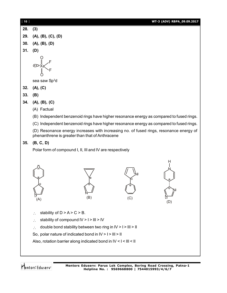| [10] | WT-3 (ADV) RBPA_09.09.2017                                                                                                                                                                                                                                                                                       |
|------|------------------------------------------------------------------------------------------------------------------------------------------------------------------------------------------------------------------------------------------------------------------------------------------------------------------|
| 28.  | (3)                                                                                                                                                                                                                                                                                                              |
| 29.  | (A), (B), (C), (D)                                                                                                                                                                                                                                                                                               |
| 30.  | (A), (B), (D)                                                                                                                                                                                                                                                                                                    |
| 31.  | (D)                                                                                                                                                                                                                                                                                                              |
|      | sea saw Sp <sup>3</sup> d                                                                                                                                                                                                                                                                                        |
| 32.  | (A), (C)                                                                                                                                                                                                                                                                                                         |
| 33.  | (B)                                                                                                                                                                                                                                                                                                              |
| 34.  | (A), (B), (C)                                                                                                                                                                                                                                                                                                    |
|      | (A) Factual                                                                                                                                                                                                                                                                                                      |
|      | (B) Independent benzenoid rings have higher resonance energy as compared to fused rings.                                                                                                                                                                                                                         |
|      | (C) Independent benzenoid rings have higher resonance energy as compared to fused rings.                                                                                                                                                                                                                         |
|      | (D) Resonance energy increases with increasing no. of fused rings, resonance energy of<br>phenanthrene is greater than that of Anthracene                                                                                                                                                                        |
| 35.  | (B, C, D)                                                                                                                                                                                                                                                                                                        |
|      | Polar form of compound I, II, III and IV are respectively                                                                                                                                                                                                                                                        |
|      | н<br>(B)<br>(C)<br>(A)<br>(D)                                                                                                                                                                                                                                                                                    |
|      | stability of $D > A > C > B$ .<br>∴<br>stability of compound IV > I > III > IV<br>$\ddot{\cdot}$<br>double bond stability between two ring in IV > I > III > II<br>$\therefore$<br>So, polar nature of indicated bond in $IV > I > III > II$<br>Also, rotation barrier along indicated bond in IV < I < III < II |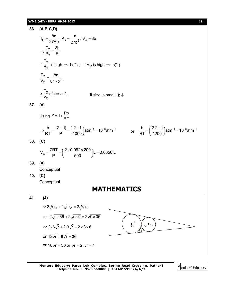### **WT-3 (ADV) RBPA\_09.09.2017** [ **11** ]

36. 
$$
(A, B, C, D)
$$
  
\n
$$
T_C = \frac{8a}{27Rb}, P_C = \frac{a}{27b^2}, V_C = 3b
$$
\n
$$
\Rightarrow \frac{T_C}{P_C} = \frac{8b}{R}
$$
\nIf  $\frac{T_C}{P_C}$  is high  $\Rightarrow$  b(1); If  $V_C$  is high  $\Rightarrow$  b(1)  
\n
$$
\frac{T_C}{V_C} = \frac{8a}{81Rb^2}.
$$
\nIf  $\frac{T_C}{V_C}(1) \Rightarrow a1$ ; If size is small, b l  
\n37. (A)  
\nUsing  $Z = 1 + \frac{Pb}{RT}$   
\n
$$
\Rightarrow \frac{b}{RT} = \frac{(Z-1)}{P} = (\frac{2-1}{1000})atm^{-1} = 10^{-3}atm^{-1}
$$
 or  $\frac{b}{RT} = (\frac{2.2-1}{1200})atm^{-1} = 10^{-3}atm^{-1}$   
\n38. (C)  
\n
$$
V_m = \frac{ZRT}{P} = (\frac{2 \times 0.082 \times 200}{500})L = 0.0656 L
$$
\n39. (A)  
\nConceptual  
\n40. (C)  
\nConceptual  
\n**MATHEMATICS**  
\n41. (4)  
\n $\therefore 2\sqrt{r}F_1 + 2\sqrt{r}F_2 = 2\sqrt{r_1r_2}$   
\nor  $2\sqrt{r} \times 36 + 2\sqrt{r \times 9} = 2\sqrt{9 \times 36}$   
\nor  $2.6\sqrt{r} + 2.3\sqrt{r} = 2 \times 3 \times 6$   
\nor  $18\sqrt{r} = 36$  or  $\sqrt{r} = 2$ :  $r = 4$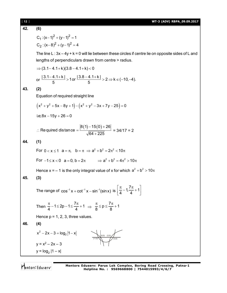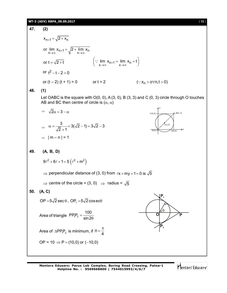# **WT-3 (ADV) RBPA\_09.09.2017** [ **13** ]

47. (2)  
\n
$$
x_{n+1} = \sqrt{2 + x_n}
$$
\nor  $\lim_{n \to \infty} x_{n+1} = \sqrt{2 + \lim_{n \to \infty} x_n}$   
\nor  $t = \sqrt{2 + t}$   $(\because \lim_{x \to \infty} x_{n+1} = \lim_{x \to \infty} x_n = t)$   
\nor  $t^2 - t - 2 = 0$   
\nor  $(t - 2)(t + 1) = 0$  or  $t = 2$   $(\because x_n > 0 \forall n, t > 0)$   
\n48. (1)  
\nLet OABC is the square with O(0, 0), A(3, 0), B(3, 3) and C(0, 3) circle through O touches  
\nAB and BC then centre of circle is  $(\alpha, \alpha)$   
\n $\Rightarrow \sqrt{2}\alpha = 3 - \alpha$   
\n $\Rightarrow \alpha = \frac{3}{\sqrt{2} + 1} = 3(\sqrt{2} - 1) = 3\sqrt{2} - 3$   
\n $\Rightarrow |m - n| = 1$   
\n49. (A, B, D)  
\n $9\ell^2 + 6\ell + 1 = 5(\ell^2 + m^2)$   
\n $\Rightarrow$  perpendicular distance of (3, 0) from  $(x + my + 1 = 0$  is  $\sqrt{5}$   
\n $\Rightarrow$  centre of the circle = (3, 0)  $\Rightarrow$  radius =  $\sqrt{5}$   
\n50. (A, C)  
\nOP =  $5\sqrt{2}$  sec 0, OP<sub>1</sub> =  $5\sqrt{2}$  coseeO  
\nArea of triangle PP<sub>1</sub>P<sub>2</sub> =  $\frac{100}{\sin 2\theta}$   
\nArea of  $\triangle PP_1P_2$  is minimum, if  $0 = \frac{\pi}{4}$   
\nOP =  $10 \Rightarrow P = (10,0)$  or  $(-10,0)$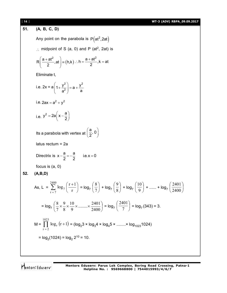111  
\n131  
\n142  
\n151. (A, B, C, D)  
\nAny point on the parabola is P(a<sup>2</sup>, 2at)  
\n... midpoint of S (a, 0) and P (a<sup>2</sup>, 2at) is  
\n
$$
R\left(\frac{a+at^2}{2},at\right) = (h,k) \dots h = \frac{a+at^2}{2}, k = at
$$
\nEliminate t,  
\ni.e.  $2x = a\left(1 + \frac{y^2}{a^2}\right) = a + \frac{y^2}{a}$   
\ni.e.  $2ax = a^2 + y^2$   
\ni.e.  $y^2 = 2a\left(x - \frac{a}{2}\right)$   
\nIts a parabola with vertex at  $\left(\frac{a}{2}, 0\right)$   
\nlatus rectum = 2a  
\nDirectrix is  $x - \frac{a}{2} = -\frac{a}{2}$  i.e.  $x = 0$   
\nfocus is (a, 0)  
\n52. (A,B,D)  
\nA s, L =  $\sum_{r=7}^{2400} \log_7 \left(\frac{r+1}{r}\right) = \log_7 \left(\frac{8}{7}\right) + \log_7 \left(\frac{9}{8}\right) + \log_7 \left(\frac{10}{9}\right) + \dots + \log_7 \left(\frac{2401}{2400}\right)$   
\n $= \log_7 \left(\frac{8}{7} \times \frac{9}{8} \times \frac{10}{9} \times \dots \times \frac{2401}{2400}\right) = \log_7 \left(\frac{2401}{7}\right) = \log_7 (343) = 3$ .  
\n
$$
M = \prod_{r=2}^{1023} \log_r (r+1) = (\log_2 3 \times \log_4 4 \times \log_4 5 \times \dots \times \log_{1023} 1024)
$$
  
\n $= \log_2(1024) = \log_2 2^{10} = 10$ .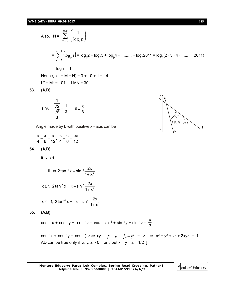**WT-3 (ADV) RBPA\_09.09.2017** [ 15 ]

Also, N = 
$$
\sum_{r=2}^{2011} \left( \frac{1}{\log_r p} \right)
$$
  
\n=  $\sum_{r=2}^{2011} \left( \log_p r \right) = \log_p 2 + \log_p 3 + \log_p 4 + \dots + \log_p 2011 = \log_p (2 \cdot 3 \cdot 4 \cdot \dots \cdot \cdot 2011)$   
\n=  $\log_p r = 1$   
\nHence, (L + M + N) = 3 + 10 + 1 = 14.  
\nL<sup>2</sup> + M<sup>2</sup> = 101, LMN = 30  
\n53. (A,D)  
\n $\sin \theta = \frac{\sqrt{2}}{\sqrt{6}} = \frac{1}{2} \Rightarrow \theta = \frac{\pi}{6}$   
\n $\frac{1}{3}$   
\nAngle made by L with positive x - axis can be  
\n $\frac{\pi}{4} - \frac{\pi}{6} = \frac{\pi}{12}, \frac{\pi}{4} + \frac{\pi}{6} = \frac{5\pi}{12}$   
\n54. (A,B)  
\nIf |x| ≤ 1  
\nthen 2 tan<sup>-1</sup>x =  $\pi$  - sin<sup>-1</sup>  $\frac{2x}{1 + x^2}$   
\n $x \ge 1$ , 2 tan<sup>-1</sup>x =  $\pi$  - sin<sup>-1</sup>  $\frac{2x}{1 + x^2}$   
\n $x \le -1$ , 2 tan<sup>-1</sup>x =  $\pi$  - sin<sup>-1</sup>  $\frac{2x}{1 + x^2}$   
\n55. (A,B)  
\n $\cos^{-1} x + \cos^{-1} y + \cos^{-1} z = \pi \Rightarrow \sin^{-1} + \sin^{-1} y + \sin^{-1} z = \frac{\pi}{2}$   
\n $\cos^{-1} x + \cos^{-1} y = \cos^{-1} (-z) \Rightarrow xy - \sqrt{1 - x^2}, \sqrt{1 - y^2} = -z \Rightarrow x^2 + y^2 + z^2 + 2xyz = 1$   
\nAD can be true only if x, y, z > 0; for c put x = y = z = 1/2 ]